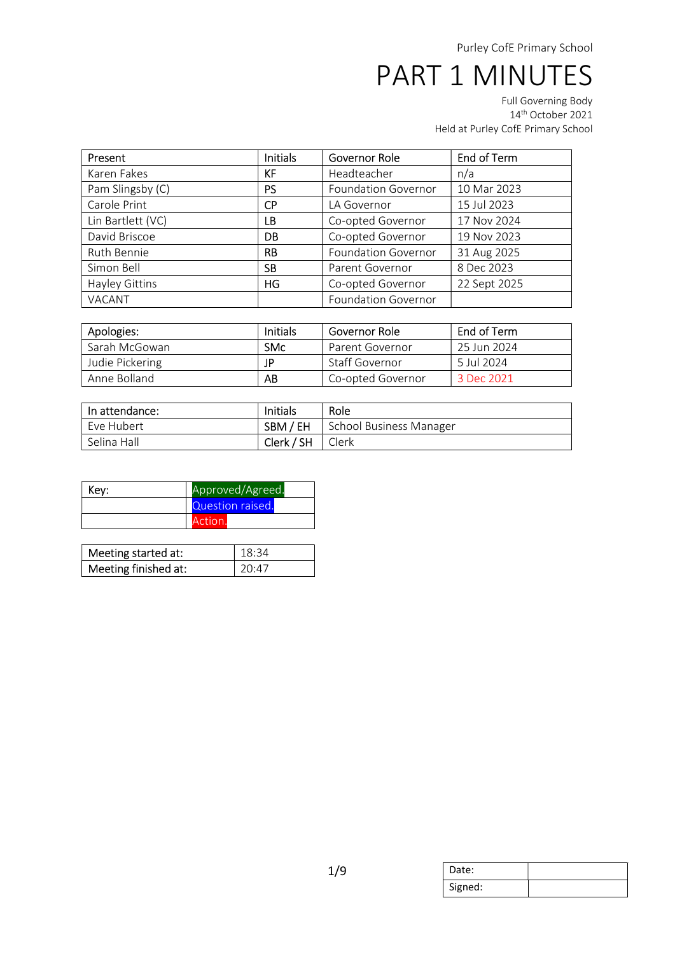Full Governing Body 14th October 2021 Held at Purley CofE Primary School

| Present                                      | <b>Initials</b>          | End of Term<br>Governor Role |              |
|----------------------------------------------|--------------------------|------------------------------|--------------|
| Karen Fakes                                  | Headteacher<br>KF<br>n/a |                              |              |
| Pam Slingsby (C)                             | <b>PS</b>                | <b>Foundation Governor</b>   | 10 Mar 2023  |
| Carole Print<br><b>CP</b><br>LA Governor     |                          | 15 Jul 2023                  |              |
| Lin Bartlett (VC)<br>Co-opted Governor<br>LВ |                          | 17 Nov 2024                  |              |
| David Briscoe                                | DB                       | Co-opted Governor            | 19 Nov 2023  |
| Ruth Bennie                                  | <b>RB</b>                | <b>Foundation Governor</b>   | 31 Aug 2025  |
| Simon Bell                                   | <b>SB</b>                | Parent Governor              | 8 Dec 2023   |
| Hayley Gittins                               | HG                       | Co-opted Governor            | 22 Sept 2025 |
| VACANT                                       |                          | <b>Foundation Governor</b>   |              |

| Apologies:      | Initials   | Governor Role     | End of Term                    |
|-----------------|------------|-------------------|--------------------------------|
| Sarah McGowan   | <b>SMc</b> | Parent Governor   | 25 Jun 2024                    |
| Judie Pickering | JP         | Staff Governor    | 5 Jul 2024                     |
| Anne Bolland    | AB         | Co-opted Governor | $\degree$ 3 Dec 2021 $\degree$ |

| In attendance: | Initials   | Role                    |
|----------------|------------|-------------------------|
| Eve Hubert     | SBM / EH   | School Business Manager |
| Selina Hall    | Clerk / SH | Clerk                   |

| Key: | Approved/Agreed. |  |
|------|------------------|--|
|      | Question raised. |  |
|      | Action.          |  |

| Meeting started at:  | 18.34 |
|----------------------|-------|
| Meeting finished at: | 20.47 |

| Date:   |  |
|---------|--|
| Signed: |  |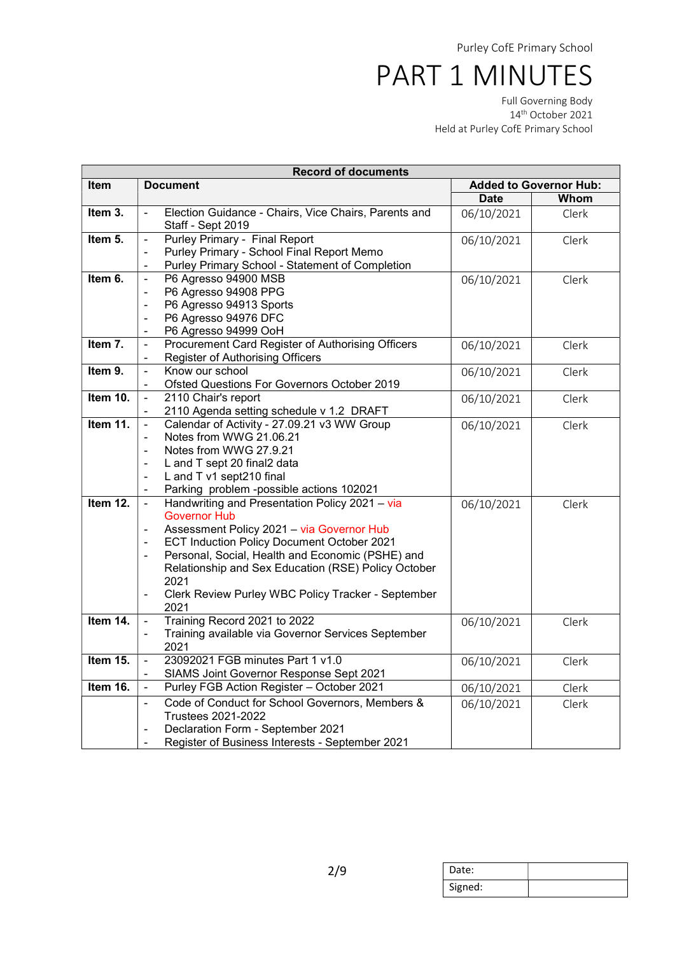Full Governing Body 14th October 2021 Held at Purley CofE Primary School

|             | <b>Record of documents</b>                                                     |             |       |
|-------------|--------------------------------------------------------------------------------|-------------|-------|
| <b>Item</b> | <b>Added to Governor Hub:</b><br><b>Document</b>                               |             |       |
|             |                                                                                | <b>Date</b> | Whom  |
| Item 3.     | Election Guidance - Chairs, Vice Chairs, Parents and                           | 06/10/2021  | Clerk |
|             | Staff - Sept 2019                                                              |             |       |
| Item 5.     | Purley Primary - Final Report<br>$\overline{a}$                                | 06/10/2021  | Clerk |
|             | Purley Primary - School Final Report Memo<br>$\overline{\phantom{0}}$          |             |       |
|             | Purley Primary School - Statement of Completion                                |             |       |
| Item 6.     | P6 Agresso 94900 MSB<br>$\frac{1}{2}$                                          | 06/10/2021  | Clerk |
|             | P6 Agresso 94908 PPG<br>÷                                                      |             |       |
|             | P6 Agresso 94913 Sports<br>$\overline{a}$                                      |             |       |
|             | P6 Agresso 94976 DFC<br>$\blacksquare$                                         |             |       |
|             | P6 Agresso 94999 OoH                                                           |             |       |
| Item 7.     | Procurement Card Register of Authorising Officers<br>ä,                        | 06/10/2021  | Clerk |
|             | Register of Authorising Officers                                               |             |       |
| Item 9.     | Know our school<br>$\frac{1}{2}$                                               | 06/10/2021  | Clerk |
|             | Ofsted Questions For Governors October 2019                                    |             |       |
| Item 10.    | 2110 Chair's report<br>÷,                                                      | 06/10/2021  | Clerk |
|             | 2110 Agenda setting schedule v 1.2 DRAFT<br>$\blacksquare$                     |             |       |
| Item 11.    | Calendar of Activity - 27.09.21 v3 WW Group<br>Ξ                               | 06/10/2021  | Clerk |
|             | Notes from WWG 21.06.21                                                        |             |       |
|             | Notes from WWG 27.9.21<br>$\qquad \qquad \blacksquare$                         |             |       |
|             | L and T sept 20 final2 data<br>$\blacksquare$                                  |             |       |
|             | L and T v1 sept210 final<br>÷                                                  |             |       |
|             | Parking problem -possible actions 102021<br>÷,                                 |             |       |
| Item 12.    | Handwriting and Presentation Policy 2021 - via<br>$\blacksquare$               | 06/10/2021  | Clerk |
|             | <b>Governor Hub</b>                                                            |             |       |
|             | Assessment Policy 2021 - via Governor Hub                                      |             |       |
|             | ECT Induction Policy Document October 2021<br>$\blacksquare$                   |             |       |
|             | Personal, Social, Health and Economic (PSHE) and                               |             |       |
|             | Relationship and Sex Education (RSE) Policy October                            |             |       |
|             | 2021                                                                           |             |       |
|             | Clerk Review Purley WBC Policy Tracker - September<br>$\overline{\phantom{0}}$ |             |       |
|             | 2021                                                                           |             |       |
| Item 14.    | Training Record 2021 to 2022<br>$\frac{1}{2}$                                  | 06/10/2021  | Clerk |
|             | Training available via Governor Services September                             |             |       |
|             | 2021                                                                           |             |       |
| Item 15.    | 23092021 FGB minutes Part 1 v1.0<br>Ξ                                          | 06/10/2021  | Clerk |
|             | SIAMS Joint Governor Response Sept 2021                                        |             |       |
| Item 16.    | Purley FGB Action Register - October 2021<br>÷,                                | 06/10/2021  | Clerk |
|             | Code of Conduct for School Governors, Members &<br>ä,                          | 06/10/2021  | Clerk |
|             | <b>Trustees 2021-2022</b>                                                      |             |       |
|             | Declaration Form - September 2021<br>$\blacksquare$                            |             |       |
|             | Register of Business Interests - September 2021                                |             |       |

| Date:   |  |
|---------|--|
| Signed: |  |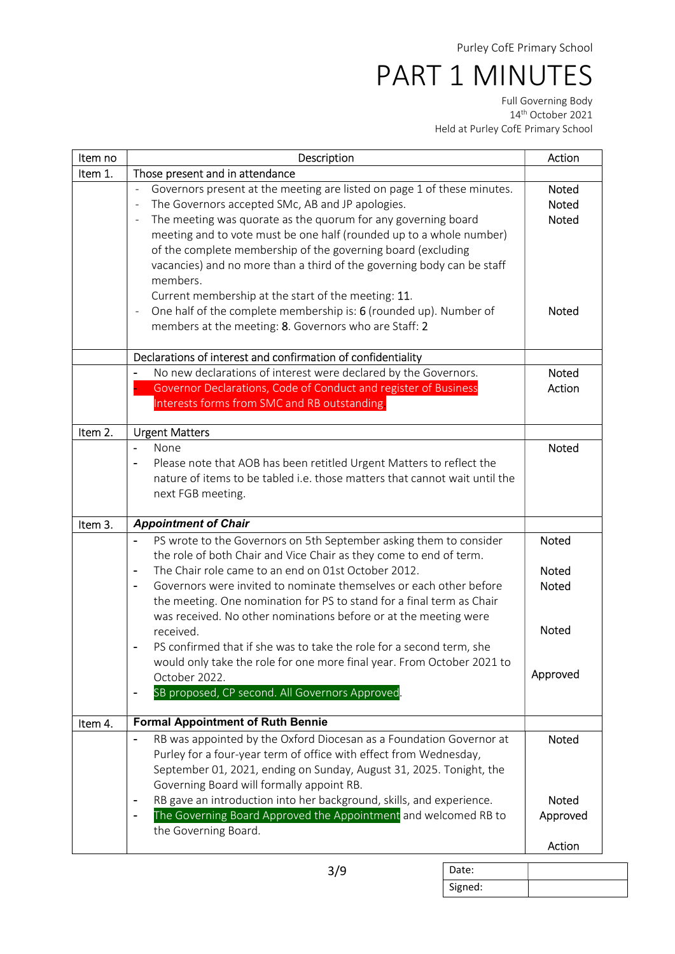Full Governing Body 14th October 2021 Held at Purley CofE Primary School

| Item no | Description                                                                                                                                                                                                                                                                                                                                                                                                                                                                                                                                                                                                                                                                                                                                       | Action                                                                   |
|---------|---------------------------------------------------------------------------------------------------------------------------------------------------------------------------------------------------------------------------------------------------------------------------------------------------------------------------------------------------------------------------------------------------------------------------------------------------------------------------------------------------------------------------------------------------------------------------------------------------------------------------------------------------------------------------------------------------------------------------------------------------|--------------------------------------------------------------------------|
| Item 1. | Those present and in attendance                                                                                                                                                                                                                                                                                                                                                                                                                                                                                                                                                                                                                                                                                                                   |                                                                          |
|         | Governors present at the meeting are listed on page 1 of these minutes.<br>÷,<br>The Governors accepted SMc, AB and JP apologies.<br>$\overline{\phantom{a}}$<br>The meeting was quorate as the quorum for any governing board<br>meeting and to vote must be one half (rounded up to a whole number)<br>of the complete membership of the governing board (excluding<br>vacancies) and no more than a third of the governing body can be staff<br>members.<br>Current membership at the start of the meeting: 11.<br>One half of the complete membership is: 6 (rounded up). Number of<br>÷,<br>members at the meeting: 8. Governors who are Staff: 2                                                                                            | Noted<br><b>Noted</b><br><b>Noted</b><br><b>Noted</b>                    |
|         | Declarations of interest and confirmation of confidentiality                                                                                                                                                                                                                                                                                                                                                                                                                                                                                                                                                                                                                                                                                      |                                                                          |
|         | No new declarations of interest were declared by the Governors.<br>Governor Declarations, Code of Conduct and register of Business<br>Interests forms from SMC and RB outstanding.                                                                                                                                                                                                                                                                                                                                                                                                                                                                                                                                                                | Noted<br>Action                                                          |
| Item 2. | <b>Urgent Matters</b>                                                                                                                                                                                                                                                                                                                                                                                                                                                                                                                                                                                                                                                                                                                             |                                                                          |
|         | None<br>$\blacksquare$<br>Please note that AOB has been retitled Urgent Matters to reflect the<br>nature of items to be tabled i.e. those matters that cannot wait until the<br>next FGB meeting.                                                                                                                                                                                                                                                                                                                                                                                                                                                                                                                                                 | <b>Noted</b>                                                             |
| Item 3. | <b>Appointment of Chair</b>                                                                                                                                                                                                                                                                                                                                                                                                                                                                                                                                                                                                                                                                                                                       |                                                                          |
|         | PS wrote to the Governors on 5th September asking them to consider<br>$\blacksquare$<br>the role of both Chair and Vice Chair as they come to end of term.<br>The Chair role came to an end on 01st October 2012.<br>$\blacksquare$<br>Governors were invited to nominate themselves or each other before<br>$\overline{\phantom{a}}$<br>the meeting. One nomination for PS to stand for a final term as Chair<br>was received. No other nominations before or at the meeting were<br>received.<br>PS confirmed that if she was to take the role for a second term, she<br>would only take the role for one more final year. From October 2021 to<br>October 2022.<br>SB proposed, CP second. All Governors Approved.<br>$\overline{\phantom{a}}$ | <b>Noted</b><br><b>Noted</b><br><b>Noted</b><br><b>Noted</b><br>Approved |
| Item 4. | <b>Formal Appointment of Ruth Bennie</b>                                                                                                                                                                                                                                                                                                                                                                                                                                                                                                                                                                                                                                                                                                          |                                                                          |
|         | RB was appointed by the Oxford Diocesan as a Foundation Governor at<br>$\overline{a}$<br>Purley for a four-year term of office with effect from Wednesday,<br>September 01, 2021, ending on Sunday, August 31, 2025. Tonight, the<br>Governing Board will formally appoint RB.<br>RB gave an introduction into her background, skills, and experience.<br>$\overline{\phantom{a}}$<br>The Governing Board Approved the Appointment and welcomed RB to<br>$\blacksquare$<br>the Governing Board.                                                                                                                                                                                                                                                   | Noted<br><b>Noted</b><br>Approved<br>Action                              |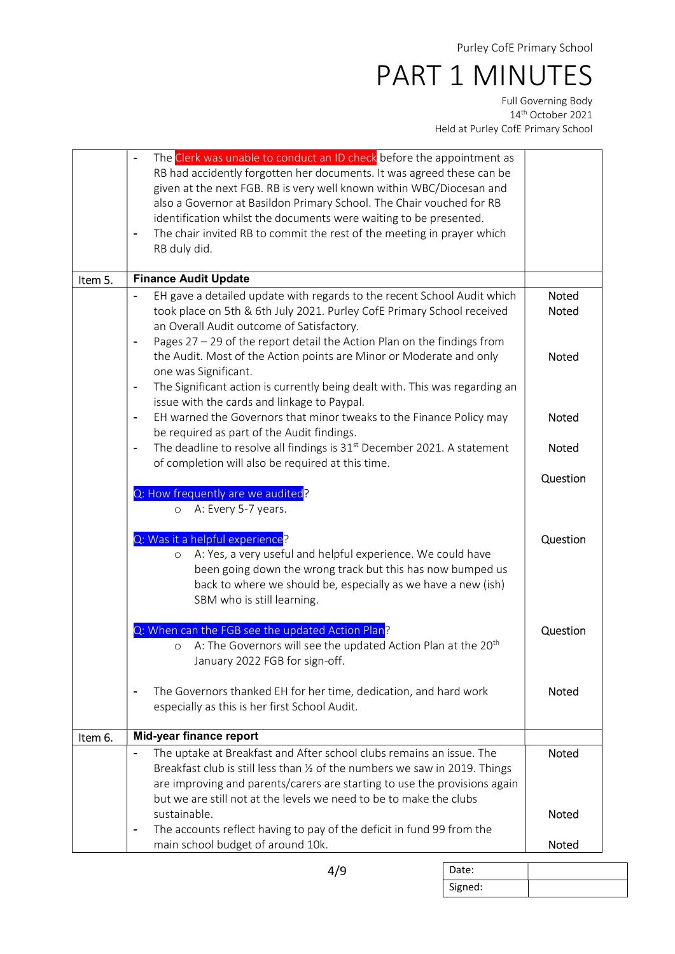Full Governing Body 14th October 2021 Held at Purley CofE Primary School

| Item 5. | The Clerk was unable to conduct an ID check before the appointment as<br>RB had accidently forgotten her documents. It was agreed these can be<br>given at the next FGB. RB is very well known within WBC/Diocesan and<br>also a Governor at Basildon Primary School. The Chair vouched for RB<br>identification whilst the documents were waiting to be presented.<br>The chair invited RB to commit the rest of the meeting in prayer which<br>RB duly did.<br><b>Finance Audit Update</b><br>EH gave a detailed update with regards to the recent School Audit which<br>took place on 5th & 6th July 2021. Purley CofE Primary School received<br>an Overall Audit outcome of Satisfactory.<br>Pages 27 - 29 of the report detail the Action Plan on the findings from | <b>Noted</b><br>Noted        |
|---------|---------------------------------------------------------------------------------------------------------------------------------------------------------------------------------------------------------------------------------------------------------------------------------------------------------------------------------------------------------------------------------------------------------------------------------------------------------------------------------------------------------------------------------------------------------------------------------------------------------------------------------------------------------------------------------------------------------------------------------------------------------------------------|------------------------------|
|         | the Audit. Most of the Action points are Minor or Moderate and only<br>one was Significant.<br>The Significant action is currently being dealt with. This was regarding an<br>$\overline{\phantom{a}}$<br>issue with the cards and linkage to Paypal.                                                                                                                                                                                                                                                                                                                                                                                                                                                                                                                     | <b>Noted</b>                 |
|         | EH warned the Governors that minor tweaks to the Finance Policy may<br>$\blacksquare$<br>be required as part of the Audit findings.<br>The deadline to resolve all findings is 31 <sup>st</sup> December 2021. A statement<br>$\blacksquare$<br>of completion will also be required at this time.                                                                                                                                                                                                                                                                                                                                                                                                                                                                         | <b>Noted</b><br><b>Noted</b> |
|         | Q: How frequently are we audited?<br>A: Every 5-7 years.<br>$\circ$                                                                                                                                                                                                                                                                                                                                                                                                                                                                                                                                                                                                                                                                                                       | Question                     |
|         | Q: Was it a helpful experience?<br>A: Yes, a very useful and helpful experience. We could have<br>$\circ$<br>been going down the wrong track but this has now bumped us<br>back to where we should be, especially as we have a new (ish)<br>SBM who is still learning.                                                                                                                                                                                                                                                                                                                                                                                                                                                                                                    | Question                     |
|         | Q: When can the FGB see the updated Action Plan?<br>A: The Governors will see the updated Action Plan at the 20 <sup>th</sup><br>$\circ$<br>January 2022 FGB for sign-off.                                                                                                                                                                                                                                                                                                                                                                                                                                                                                                                                                                                                | Question                     |
|         | The Governors thanked EH for her time, dedication, and hard work<br>especially as this is her first School Audit.                                                                                                                                                                                                                                                                                                                                                                                                                                                                                                                                                                                                                                                         | Noted                        |
| Item 6. | Mid-year finance report                                                                                                                                                                                                                                                                                                                                                                                                                                                                                                                                                                                                                                                                                                                                                   |                              |
|         | The uptake at Breakfast and After school clubs remains an issue. The<br>$\blacksquare$<br>Breakfast club is still less than 1/2 of the numbers we saw in 2019. Things<br>are improving and parents/carers are starting to use the provisions again<br>but we are still not at the levels we need to be to make the clubs                                                                                                                                                                                                                                                                                                                                                                                                                                                  | <b>Noted</b>                 |
|         | sustainable.<br>The accounts reflect having to pay of the deficit in fund 99 from the<br>$\overline{\phantom{a}}$                                                                                                                                                                                                                                                                                                                                                                                                                                                                                                                                                                                                                                                         | Noted                        |
|         | main school budget of around 10k.                                                                                                                                                                                                                                                                                                                                                                                                                                                                                                                                                                                                                                                                                                                                         | <b>Noted</b>                 |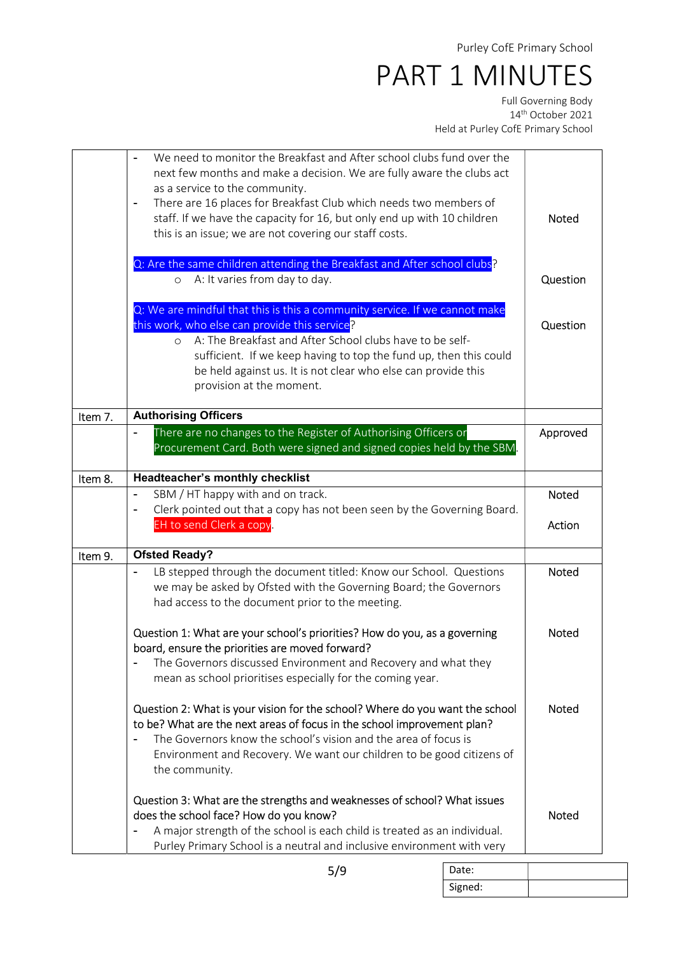Full Governing Body 14th October 2021 Held at Purley CofE Primary School

|         | We need to monitor the Breakfast and After school clubs fund over the                               |              |
|---------|-----------------------------------------------------------------------------------------------------|--------------|
|         | next few months and make a decision. We are fully aware the clubs act                               |              |
|         | as a service to the community.<br>There are 16 places for Breakfast Club which needs two members of |              |
|         | $\blacksquare$<br>staff. If we have the capacity for 16, but only end up with 10 children           | <b>Noted</b> |
|         |                                                                                                     |              |
|         | this is an issue; we are not covering our staff costs.                                              |              |
|         | Q: Are the same children attending the Breakfast and After school clubs?                            |              |
|         | A: It varies from day to day.<br>$\circ$                                                            | Question     |
|         | Q: We are mindful that this is this a community service. If we cannot make                          |              |
|         | this work, who else can provide this service?                                                       | Question     |
|         | A: The Breakfast and After School clubs have to be self-<br>$\circ$                                 |              |
|         | sufficient. If we keep having to top the fund up, then this could                                   |              |
|         | be held against us. It is not clear who else can provide this                                       |              |
|         | provision at the moment.                                                                            |              |
| Item 7. | <b>Authorising Officers</b>                                                                         |              |
|         | There are no changes to the Register of Authorising Officers or                                     | Approved     |
|         | Procurement Card. Both were signed and signed copies held by the SBM.                               |              |
| Item 8. | Headteacher's monthly checklist                                                                     |              |
|         | SBM / HT happy with and on track.                                                                   | <b>Noted</b> |
|         | Clerk pointed out that a copy has not been seen by the Governing Board.<br>$\blacksquare$           |              |
|         | EH to send Clerk a copy.                                                                            | Action       |
| Item 9. | <b>Ofsted Ready?</b>                                                                                |              |
|         | LB stepped through the document titled: Know our School. Questions<br>$\blacksquare$                | <b>Noted</b> |
|         | we may be asked by Ofsted with the Governing Board; the Governors                                   |              |
|         | had access to the document prior to the meeting.                                                    |              |
|         | Question 1: What are your school's priorities? How do you, as a governing                           | <b>Noted</b> |
|         | board, ensure the priorities are moved forward?                                                     |              |
|         | The Governors discussed Environment and Recovery and what they                                      |              |
|         | mean as school prioritises especially for the coming year.                                          |              |
|         | Question 2: What is your vision for the school? Where do you want the school                        | <b>Noted</b> |
|         | to be? What are the next areas of focus in the school improvement plan?                             |              |
|         | The Governors know the school's vision and the area of focus is                                     |              |
|         | Environment and Recovery. We want our children to be good citizens of                               |              |
|         | the community.                                                                                      |              |
|         | Question 3: What are the strengths and weaknesses of school? What issues                            |              |
|         | does the school face? How do you know?                                                              | Noted        |
|         | A major strength of the school is each child is treated as an individual.                           |              |
|         | Purley Primary School is a neutral and inclusive environment with very                              |              |

| ×<br>۰,<br>۰.<br>v<br>۰.<br>×<br>× |
|------------------------------------|
|------------------------------------|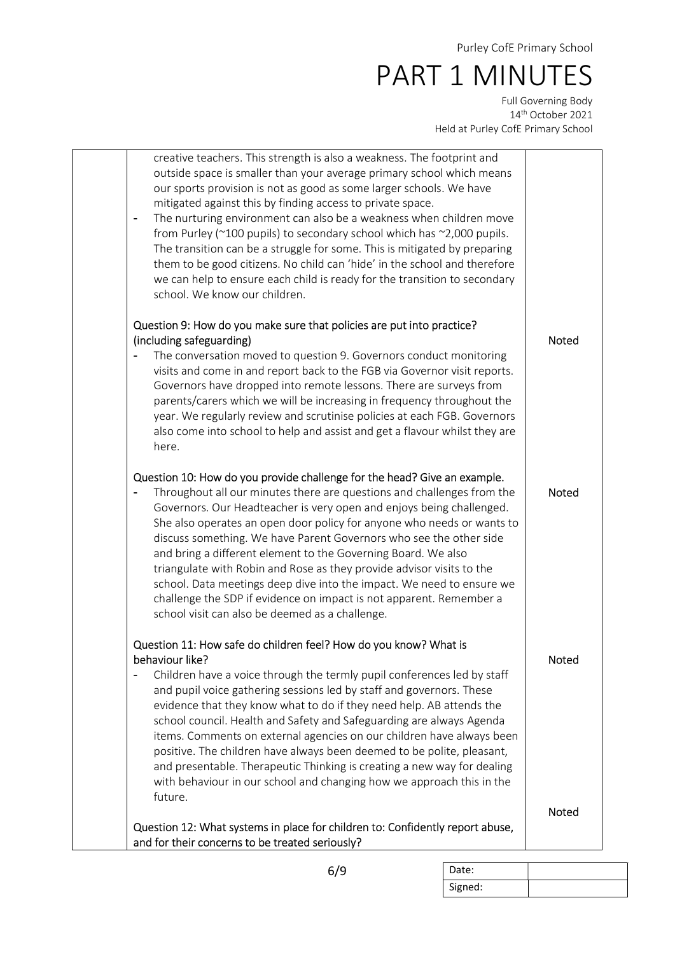Full Governing Body 14th October 2021 Held at Purley CofE Primary School

| creative teachers. This strength is also a weakness. The footprint and<br>outside space is smaller than your average primary school which means<br>our sports provision is not as good as some larger schools. We have<br>mitigated against this by finding access to private space.<br>The nurturing environment can also be a weakness when children move<br>from Purley (~100 pupils) to secondary school which has ~2,000 pupils.<br>The transition can be a struggle for some. This is mitigated by preparing<br>them to be good citizens. No child can 'hide' in the school and therefore<br>we can help to ensure each child is ready for the transition to secondary<br>school. We know our children.           |              |
|-------------------------------------------------------------------------------------------------------------------------------------------------------------------------------------------------------------------------------------------------------------------------------------------------------------------------------------------------------------------------------------------------------------------------------------------------------------------------------------------------------------------------------------------------------------------------------------------------------------------------------------------------------------------------------------------------------------------------|--------------|
| Question 9: How do you make sure that policies are put into practice?<br>(including safeguarding)<br>The conversation moved to question 9. Governors conduct monitoring<br>visits and come in and report back to the FGB via Governor visit reports.<br>Governors have dropped into remote lessons. There are surveys from<br>parents/carers which we will be increasing in frequency throughout the<br>year. We regularly review and scrutinise policies at each FGB. Governors<br>also come into school to help and assist and get a flavour whilst they are<br>here.                                                                                                                                                 | <b>Noted</b> |
| Question 10: How do you provide challenge for the head? Give an example.<br>Throughout all our minutes there are questions and challenges from the<br>Governors. Our Headteacher is very open and enjoys being challenged.<br>She also operates an open door policy for anyone who needs or wants to<br>discuss something. We have Parent Governors who see the other side<br>and bring a different element to the Governing Board. We also<br>triangulate with Robin and Rose as they provide advisor visits to the<br>school. Data meetings deep dive into the impact. We need to ensure we<br>challenge the SDP if evidence on impact is not apparent. Remember a<br>school visit can also be deemed as a challenge. | <b>Noted</b> |
| Question 11: How safe do children feel? How do you know? What is<br>behaviour like?<br>Children have a voice through the termly pupil conferences led by staff<br>and pupil voice gathering sessions led by staff and governors. These<br>evidence that they know what to do if they need help. AB attends the<br>school council. Health and Safety and Safeguarding are always Agenda<br>items. Comments on external agencies on our children have always been<br>positive. The children have always been deemed to be polite, pleasant,<br>and presentable. Therapeutic Thinking is creating a new way for dealing<br>with behaviour in our school and changing how we approach this in the<br>future.                | Noted        |
| Question 12: What systems in place for children to: Confidently report abuse,<br>and for their concerns to be treated seriously?                                                                                                                                                                                                                                                                                                                                                                                                                                                                                                                                                                                        | Noted        |

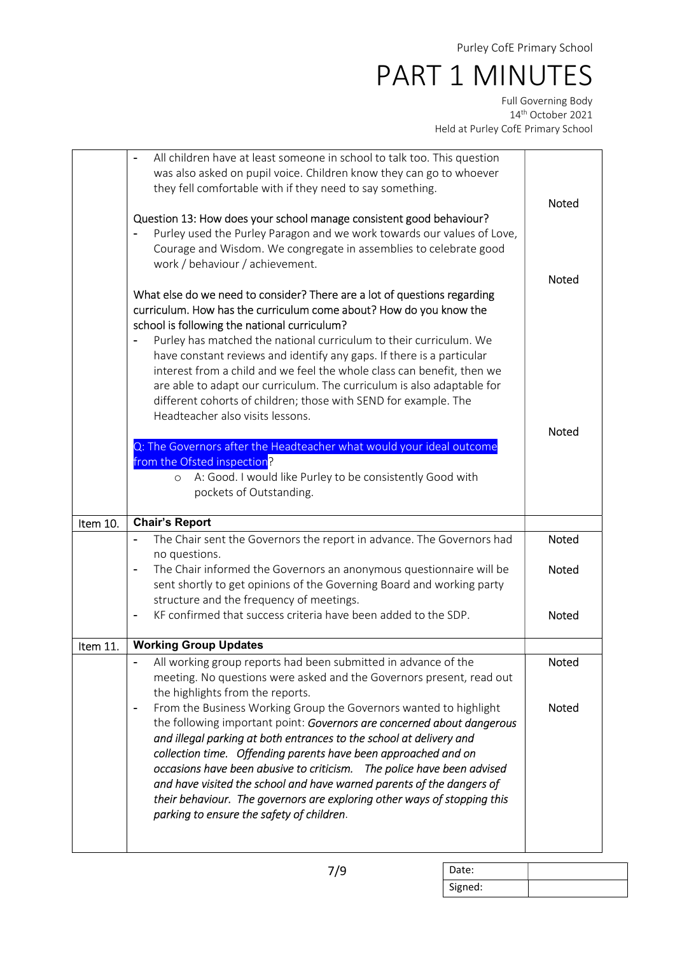Full Governing Body 14th October 2021 Held at Purley CofE Primary School

|          | All children have at least someone in school to talk too. This question<br>was also asked on pupil voice. Children know they can go to whoever<br>they fell comfortable with if they need to say something.                                                                                                   | <b>Noted</b> |
|----------|---------------------------------------------------------------------------------------------------------------------------------------------------------------------------------------------------------------------------------------------------------------------------------------------------------------|--------------|
|          | Question 13: How does your school manage consistent good behaviour?<br>Purley used the Purley Paragon and we work towards our values of Love,<br>Courage and Wisdom. We congregate in assemblies to celebrate good<br>work / behaviour / achievement.                                                         | <b>Noted</b> |
|          |                                                                                                                                                                                                                                                                                                               |              |
|          | different cohorts of children; those with SEND for example. The<br>Headteacher also visits lessons.<br>Q: The Governors after the Headteacher what would your ideal outcome<br>from the Ofsted inspection?<br>A: Good. I would like Purley to be consistently Good with<br>$\circ$<br>pockets of Outstanding. | <b>Noted</b> |
|          |                                                                                                                                                                                                                                                                                                               |              |
| Item 10. | <b>Chair's Report</b>                                                                                                                                                                                                                                                                                         |              |
|          | The Chair sent the Governors the report in advance. The Governors had<br>$\blacksquare$                                                                                                                                                                                                                       | <b>Noted</b> |
|          | no questions.<br>The Chair informed the Governors an anonymous questionnaire will be<br>$\overline{\phantom{a}}$<br>sent shortly to get opinions of the Governing Board and working party                                                                                                                     | Noted        |
|          | structure and the frequency of meetings.<br>KF confirmed that success criteria have been added to the SDP.                                                                                                                                                                                                    | <b>Noted</b> |
| Item 11. | <b>Working Group Updates</b>                                                                                                                                                                                                                                                                                  |              |
|          | All working group reports had been submitted in advance of the<br>meeting. No questions were asked and the Governors present, read out<br>the highlights from the reports.                                                                                                                                    | Noted        |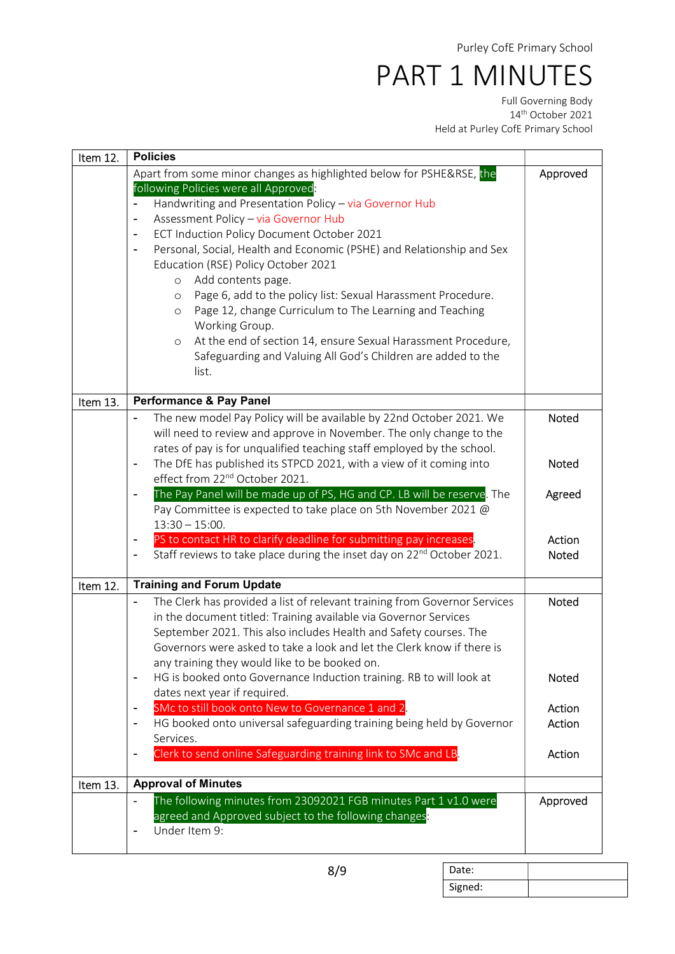Full Governing Body 14th October 2021 Held at Purley CofE Primary School

| Item 12. | <b>Policies</b>                                                                                                                                                                                                                                                                                                                                                                                                                                                                                                                                                                                                                                                                                                                                                                                        |                |
|----------|--------------------------------------------------------------------------------------------------------------------------------------------------------------------------------------------------------------------------------------------------------------------------------------------------------------------------------------------------------------------------------------------------------------------------------------------------------------------------------------------------------------------------------------------------------------------------------------------------------------------------------------------------------------------------------------------------------------------------------------------------------------------------------------------------------|----------------|
|          | Apart from some minor changes as highlighted below for PSHE&RSE, the<br>following Policies were all Approved:<br>Handwriting and Presentation Policy - via Governor Hub<br>Assessment Policy - via Governor Hub<br>$\overline{a}$<br>ECT Induction Policy Document October 2021<br>$\blacksquare$<br>Personal, Social, Health and Economic (PSHE) and Relationship and Sex<br>$\overline{\phantom{a}}$<br>Education (RSE) Policy October 2021<br>Add contents page.<br>$\circ$<br>Page 6, add to the policy list: Sexual Harassment Procedure.<br>$\circ$<br>Page 12, change Curriculum to The Learning and Teaching<br>$\circ$<br>Working Group.<br>At the end of section 14, ensure Sexual Harassment Procedure,<br>$\circ$<br>Safeguarding and Valuing All God's Children are added to the<br>list. | Approved       |
| Item 13. | <b>Performance &amp; Pay Panel</b>                                                                                                                                                                                                                                                                                                                                                                                                                                                                                                                                                                                                                                                                                                                                                                     |                |
|          | The new model Pay Policy will be available by 22nd October 2021. We<br>will need to review and approve in November. The only change to the<br>rates of pay is for unqualified teaching staff employed by the school.<br>The DfE has published its STPCD 2021, with a view of it coming into                                                                                                                                                                                                                                                                                                                                                                                                                                                                                                            | Noted<br>Noted |
|          | effect from 22 <sup>nd</sup> October 2021.                                                                                                                                                                                                                                                                                                                                                                                                                                                                                                                                                                                                                                                                                                                                                             |                |
|          | The Pay Panel will be made up of PS, HG and CP. LB will be reserve. The<br>$\blacksquare$<br>Pay Committee is expected to take place on 5th November 2021 @<br>$13:30 - 15:00.$                                                                                                                                                                                                                                                                                                                                                                                                                                                                                                                                                                                                                        | Agreed         |
|          | PS to contact HR to clarify deadline for submitting pay increases.                                                                                                                                                                                                                                                                                                                                                                                                                                                                                                                                                                                                                                                                                                                                     | Action         |
|          | Staff reviews to take place during the inset day on 22 <sup>nd</sup> October 2021.                                                                                                                                                                                                                                                                                                                                                                                                                                                                                                                                                                                                                                                                                                                     | Noted          |
| Item 12. | <b>Training and Forum Update</b>                                                                                                                                                                                                                                                                                                                                                                                                                                                                                                                                                                                                                                                                                                                                                                       |                |
|          | The Clerk has provided a list of relevant training from Governor Services<br>$\blacksquare$<br>in the document titled: Training available via Governor Services<br>September 2021. This also includes Health and Safety courses. The<br>Governors were asked to take a look and let the Clerk know if there is<br>any training they would like to be booked on.                                                                                                                                                                                                                                                                                                                                                                                                                                        | <b>Noted</b>   |
|          | HG is booked onto Governance Induction training. RB to will look at<br>$\blacksquare$<br>dates next year if required.                                                                                                                                                                                                                                                                                                                                                                                                                                                                                                                                                                                                                                                                                  | Noted          |
|          | SMc to still book onto New to Governance 1 and 2.                                                                                                                                                                                                                                                                                                                                                                                                                                                                                                                                                                                                                                                                                                                                                      | Action         |
|          | HG booked onto universal safeguarding training being held by Governor<br>$\overline{\phantom{a}}$                                                                                                                                                                                                                                                                                                                                                                                                                                                                                                                                                                                                                                                                                                      | Action         |
|          | Services.                                                                                                                                                                                                                                                                                                                                                                                                                                                                                                                                                                                                                                                                                                                                                                                              |                |
|          | Clerk to send online Safeguarding training link to SMc and LB.<br>$\overline{a}$                                                                                                                                                                                                                                                                                                                                                                                                                                                                                                                                                                                                                                                                                                                       | Action         |
| Item 13. | <b>Approval of Minutes</b>                                                                                                                                                                                                                                                                                                                                                                                                                                                                                                                                                                                                                                                                                                                                                                             |                |
|          | The following minutes from 23092021 FGB minutes Part 1 v1.0 were<br>$\blacksquare$<br>agreed and Approved subject to the following changes:<br>Under Item 9:<br>$\overline{\phantom{a}}$                                                                                                                                                                                                                                                                                                                                                                                                                                                                                                                                                                                                               | Approved       |